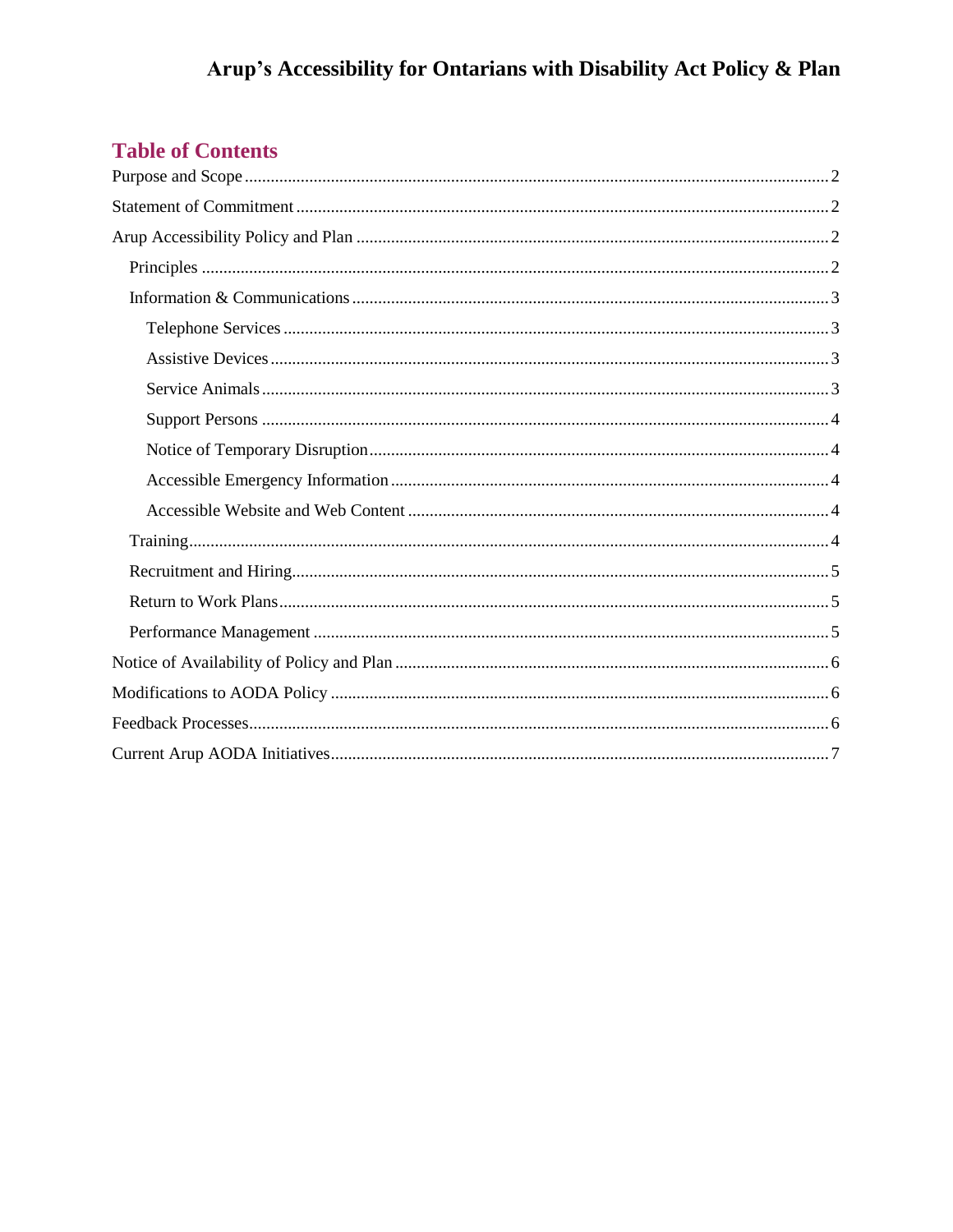# **Table of Contents**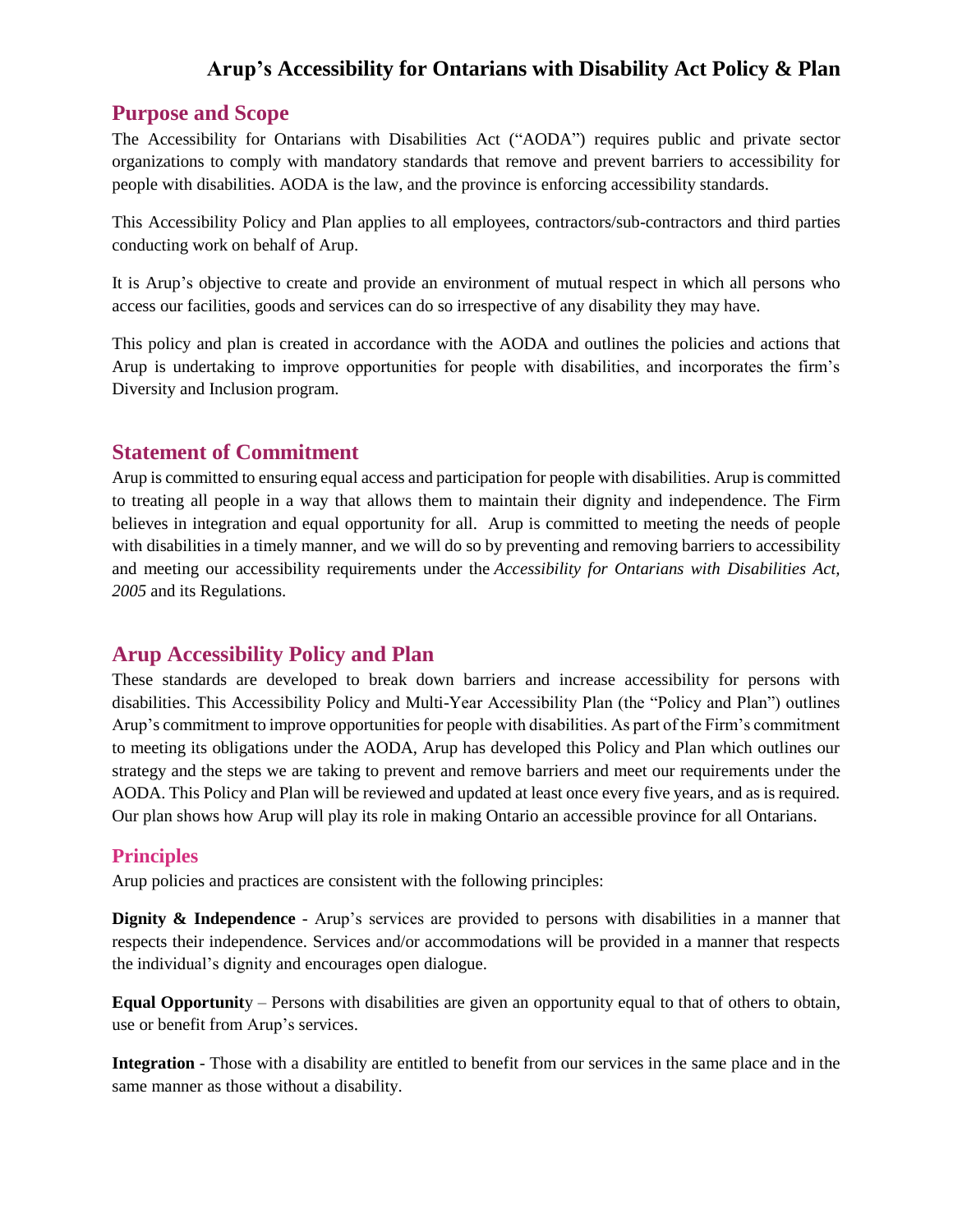## <span id="page-1-0"></span>**Purpose and Scope**

The Accessibility for Ontarians with Disabilities Act ("AODA") requires public and private sector organizations to comply with mandatory standards that remove and prevent barriers to accessibility for people with disabilities. AODA is the law, and the province is enforcing accessibility standards.

This Accessibility Policy and Plan applies to all employees, contractors/sub-contractors and third parties conducting work on behalf of Arup.

It is Arup's objective to create and provide an environment of mutual respect in which all persons who access our facilities, goods and services can do so irrespective of any disability they may have.

This policy and plan is created in accordance with the AODA and outlines the policies and actions that Arup is undertaking to improve opportunities for people with disabilities, and incorporates the firm's Diversity and Inclusion program.

## <span id="page-1-1"></span>**Statement of Commitment**

Arup is committed to ensuring equal access and participation for people with disabilities. Arup is committed to treating all people in a way that allows them to maintain their dignity and independence. The Firm believes in integration and equal opportunity for all. Arup is committed to meeting the needs of people with disabilities in a timely manner, and we will do so by preventing and removing barriers to accessibility and meeting our accessibility requirements under the *Accessibility for Ontarians with Disabilities Act, 2005* and its Regulations.

## <span id="page-1-2"></span>**Arup Accessibility Policy and Plan**

These standards are developed to break down barriers and increase accessibility for persons with disabilities. This Accessibility Policy and Multi-Year Accessibility Plan (the "Policy and Plan") outlines Arup's commitment to improve opportunities for people with disabilities. As part of the Firm's commitment to meeting its obligations under the AODA, Arup has developed this Policy and Plan which outlines our strategy and the steps we are taking to prevent and remove barriers and meet our requirements under the AODA. This Policy and Plan will be reviewed and updated at least once every five years, and as is required. Our plan shows how Arup will play its role in making Ontario an accessible province for all Ontarians.

## <span id="page-1-3"></span>**Principles**

Arup policies and practices are consistent with the following principles:

**Dignity & Independence** - Arup's services are provided to persons with disabilities in a manner that respects their independence. Services and/or accommodations will be provided in a manner that respects the individual's dignity and encourages open dialogue.

**Equal Opportunit**y – Persons with disabilities are given an opportunity equal to that of others to obtain, use or benefit from Arup's services.

**Integration** - Those with a disability are entitled to benefit from our services in the same place and in the same manner as those without a disability.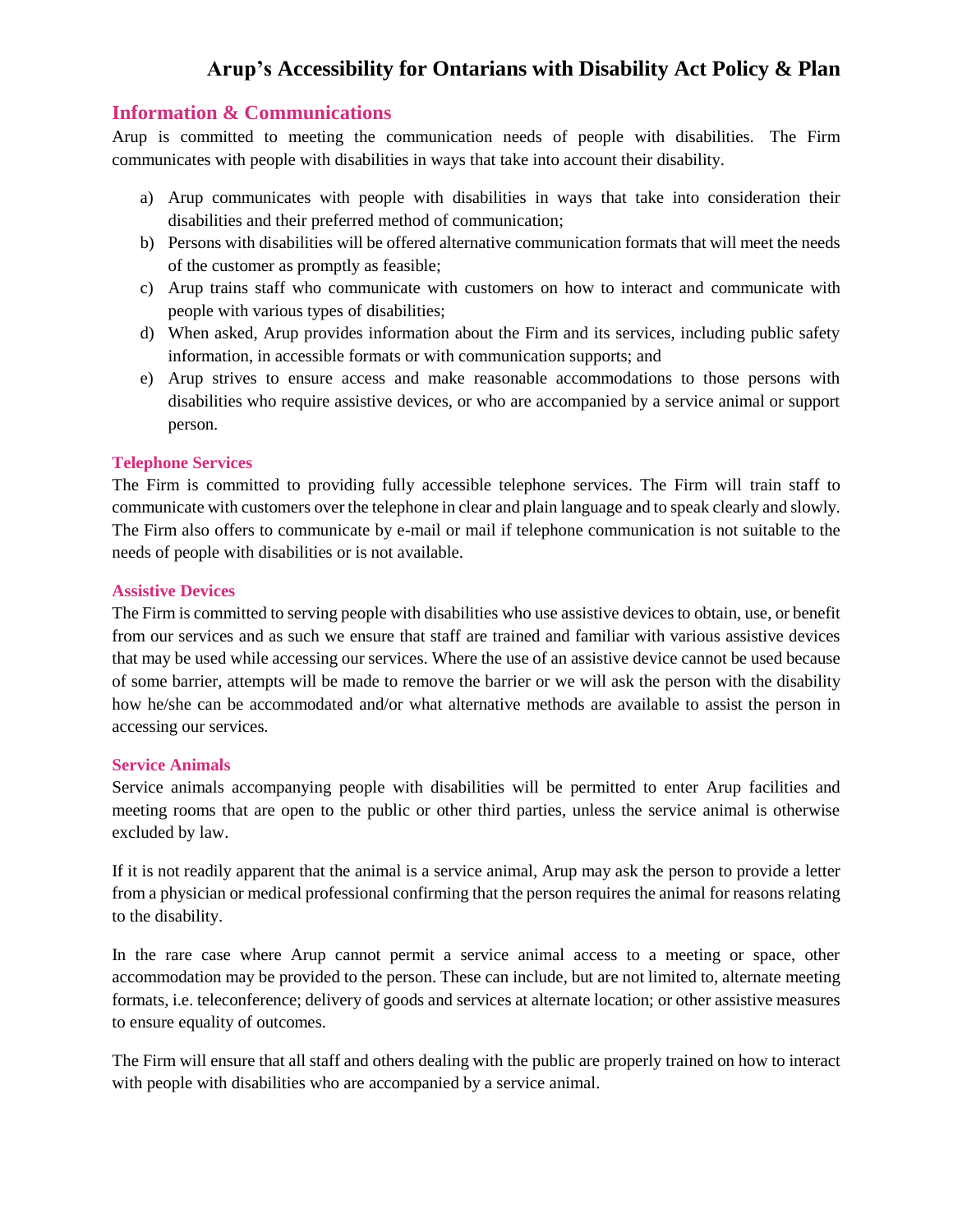#### <span id="page-2-0"></span>**Information & Communications**

Arup is committed to meeting the communication needs of people with disabilities. The Firm communicates with people with disabilities in ways that take into account their disability.

- a) Arup communicates with people with disabilities in ways that take into consideration their disabilities and their preferred method of communication;
- b) Persons with disabilities will be offered alternative communication formats that will meet the needs of the customer as promptly as feasible;
- c) Arup trains staff who communicate with customers on how to interact and communicate with people with various types of disabilities;
- d) When asked, Arup provides information about the Firm and its services, including public safety information, in accessible formats or with communication supports; and
- e) Arup strives to ensure access and make reasonable accommodations to those persons with disabilities who require assistive devices, or who are accompanied by a service animal or support person.

#### <span id="page-2-1"></span>**Telephone Services**

The Firm is committed to providing fully accessible telephone services. The Firm will train staff to communicate with customers over the telephone in clear and plain language and to speak clearly and slowly. The Firm also offers to communicate by e-mail or mail if telephone communication is not suitable to the needs of people with disabilities or is not available.

#### <span id="page-2-2"></span>**Assistive Devices**

The Firm is committed to serving people with disabilities who use assistive devices to obtain, use, or benefit from our services and as such we ensure that staff are trained and familiar with various assistive devices that may be used while accessing our services. Where the use of an assistive device cannot be used because of some barrier, attempts will be made to remove the barrier or we will ask the person with the disability how he/she can be accommodated and/or what alternative methods are available to assist the person in accessing our services.

#### <span id="page-2-3"></span>**Service Animals**

Service animals accompanying people with disabilities will be permitted to enter Arup facilities and meeting rooms that are open to the public or other third parties, unless the service animal is otherwise excluded by law.

If it is not readily apparent that the animal is a service animal, Arup may ask the person to provide a letter from a physician or medical professional confirming that the person requires the animal for reasons relating to the disability.

In the rare case where Arup cannot permit a service animal access to a meeting or space, other accommodation may be provided to the person. These can include, but are not limited to, alternate meeting formats, i.e. teleconference; delivery of goods and services at alternate location; or other assistive measures to ensure equality of outcomes.

The Firm will ensure that all staff and others dealing with the public are properly trained on how to interact with people with disabilities who are accompanied by a service animal.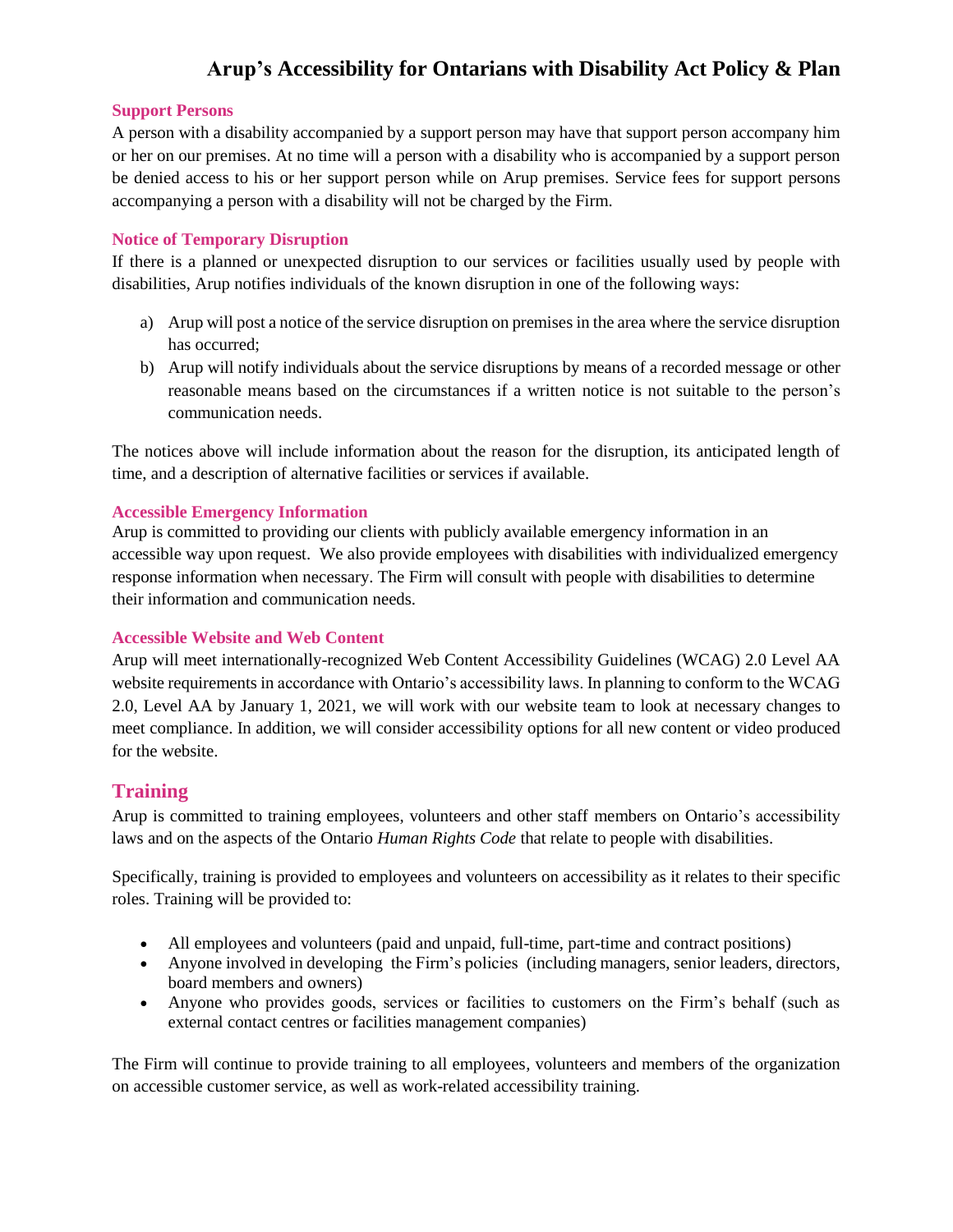#### <span id="page-3-0"></span>**Support Persons**

A person with a disability accompanied by a support person may have that support person accompany him or her on our premises. At no time will a person with a disability who is accompanied by a support person be denied access to his or her support person while on Arup premises. Service fees for support persons accompanying a person with a disability will not be charged by the Firm.

#### <span id="page-3-1"></span>**Notice of Temporary Disruption**

If there is a planned or unexpected disruption to our services or facilities usually used by people with disabilities, Arup notifies individuals of the known disruption in one of the following ways:

- a) Arup will post a notice of the service disruption on premises in the area where the service disruption has occurred;
- b) Arup will notify individuals about the service disruptions by means of a recorded message or other reasonable means based on the circumstances if a written notice is not suitable to the person's communication needs.

The notices above will include information about the reason for the disruption, its anticipated length of time, and a description of alternative facilities or services if available.

#### <span id="page-3-2"></span>**Accessible Emergency Information**

Arup is committed to providing our clients with publicly available emergency information in an accessible way upon request. We also provide employees with disabilities with individualized emergency response information when necessary. The Firm will consult with people with disabilities to determine their information and communication needs.

### <span id="page-3-3"></span>**Accessible Website and Web Content**

Arup will meet internationally-recognized Web Content Accessibility Guidelines (WCAG) 2.0 Level AA website requirements in accordance with Ontario's accessibility laws. In planning to conform to the WCAG 2.0, Level AA by January 1, 2021, we will work with our website team to look at necessary changes to meet compliance. In addition, we will consider accessibility options for all new content or video produced for the website.

## <span id="page-3-4"></span>**Training**

Arup is committed to training employees, volunteers and other staff members on Ontario's accessibility laws and on the aspects of the Ontario *Human Rights Code* that relate to people with disabilities.

Specifically, training is provided to employees and volunteers on accessibility as it relates to their specific roles. Training will be provided to:

- All employees and volunteers (paid and unpaid, full-time, part-time and contract positions)
- Anyone involved in developing the Firm's policies (including managers, senior leaders, directors, board members and owners)
- Anyone who provides goods, services or facilities to customers on the Firm's behalf (such as external contact centres or facilities management companies)

The Firm will continue to provide training to all employees, volunteers and members of the organization on accessible customer service, as well as work-related accessibility training.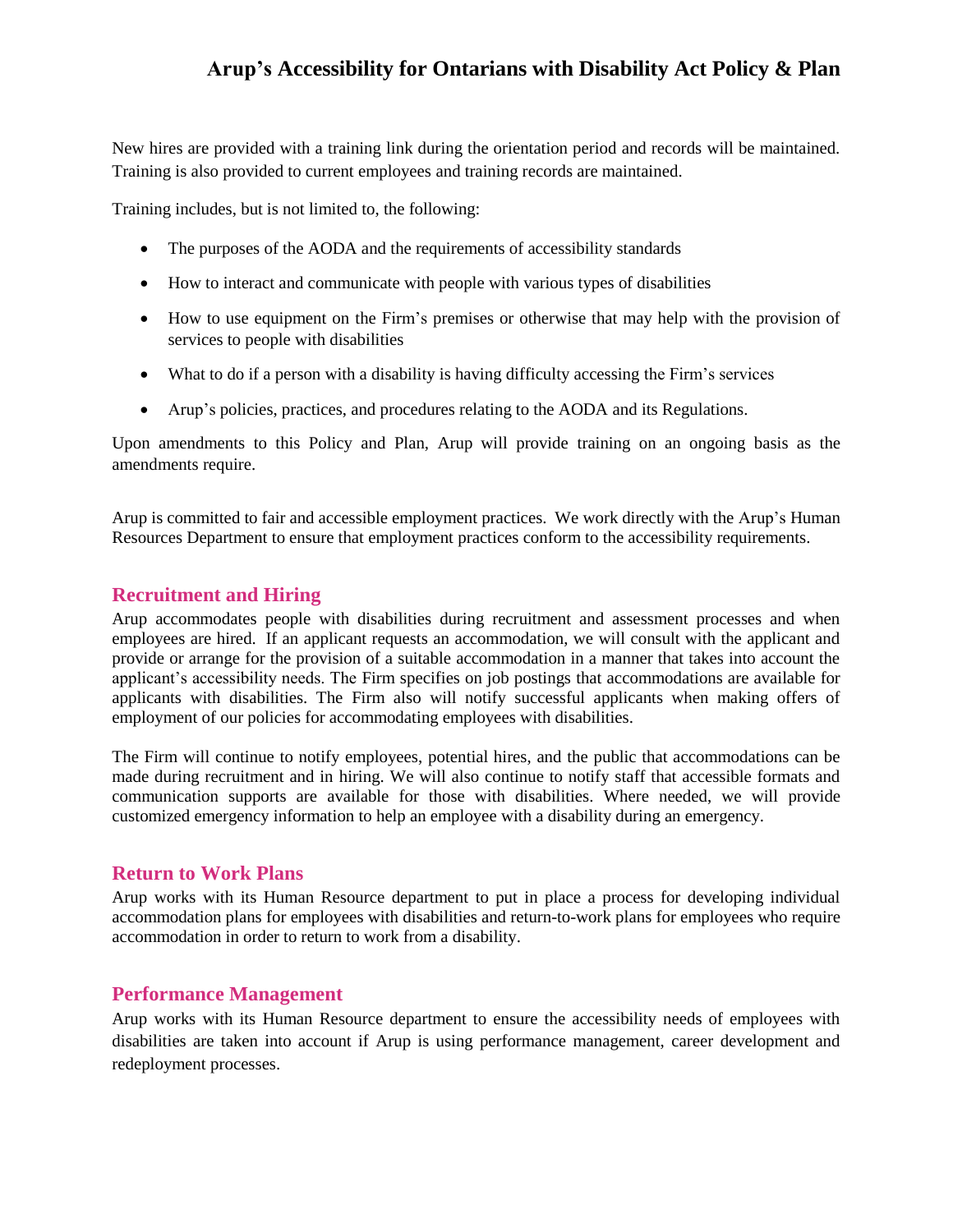New hires are provided with a training link during the orientation period and records will be maintained. Training is also provided to current employees and training records are maintained.

Training includes, but is not limited to, the following:

- The purposes of the AODA and the requirements of accessibility standards
- How to interact and communicate with people with various types of disabilities
- How to use equipment on the Firm's premises or otherwise that may help with the provision of services to people with disabilities
- What to do if a person with a disability is having difficulty accessing the Firm's services
- Arup's policies, practices, and procedures relating to the AODA and its Regulations.

Upon amendments to this Policy and Plan, Arup will provide training on an ongoing basis as the amendments require.

Arup is committed to fair and accessible employment practices. We work directly with the Arup's Human Resources Department to ensure that employment practices conform to the accessibility requirements.

#### <span id="page-4-0"></span>**Recruitment and Hiring**

Arup accommodates people with disabilities during recruitment and assessment processes and when employees are hired. If an applicant requests an accommodation, we will consult with the applicant and provide or arrange for the provision of a suitable accommodation in a manner that takes into account the applicant's accessibility needs. The Firm specifies on job postings that accommodations are available for applicants with disabilities. The Firm also will notify successful applicants when making offers of employment of our policies for accommodating employees with disabilities.

The Firm will continue to notify employees, potential hires, and the public that accommodations can be made during recruitment and in hiring. We will also continue to notify staff that accessible formats and communication supports are available for those with disabilities. Where needed, we will provide customized emergency information to help an employee with a disability during an emergency.

#### <span id="page-4-1"></span>**Return to Work Plans**

Arup works with its Human Resource department to put in place a process for developing individual accommodation plans for employees with disabilities and return-to-work plans for employees who require accommodation in order to return to work from a disability.

### <span id="page-4-2"></span>**Performance Management**

Arup works with its Human Resource department to ensure the accessibility needs of employees with disabilities are taken into account if Arup is using performance management, career development and redeployment processes.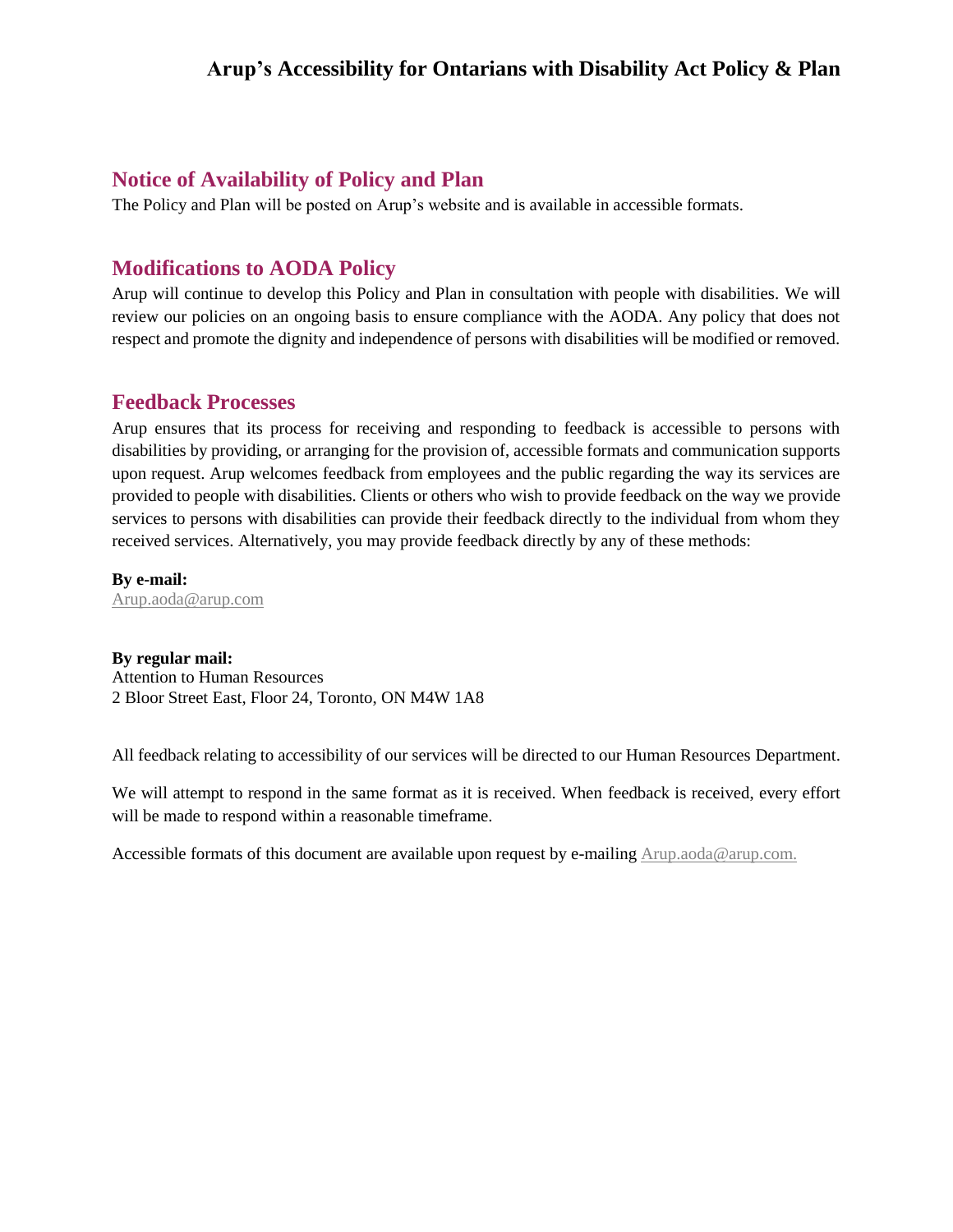### <span id="page-5-0"></span>**Notice of Availability of Policy and Plan**

The Policy and Plan will be posted on Arup's website and is available in accessible formats.

## <span id="page-5-1"></span>**Modifications to AODA Policy**

Arup will continue to develop this Policy and Plan in consultation with people with disabilities. We will review our policies on an ongoing basis to ensure compliance with the AODA. Any policy that does not respect and promote the dignity and independence of persons with disabilities will be modified or removed.

### <span id="page-5-2"></span>**Feedback Processes**

Arup ensures that its process for receiving and responding to feedback is accessible to persons with disabilities by providing, or arranging for the provision of, accessible formats and communication supports upon request. Arup welcomes feedback from employees and the public regarding the way its services are provided to people with disabilities. Clients or others who wish to provide feedback on the way we provide services to persons with disabilities can provide their feedback directly to the individual from whom they received services. Alternatively, you may provide feedback directly by any of these methods:

**By e-mail:** [Arup.aoda@arup.com](mailto:Arup.aoda@arup.com)

#### **By regular mail:**

Attention to Human Resources 2 Bloor Street East, Floor 24, Toronto, ON M4W 1A8

All feedback relating to accessibility of our services will be directed to our Human Resources Department.

We will attempt to respond in the same format as it is received. When feedback is received, every effort will be made to respond within a reasonable timeframe.

Accessible formats of this document are available upon request by e-mailing  $Arup.aoda@aryp.com$ .